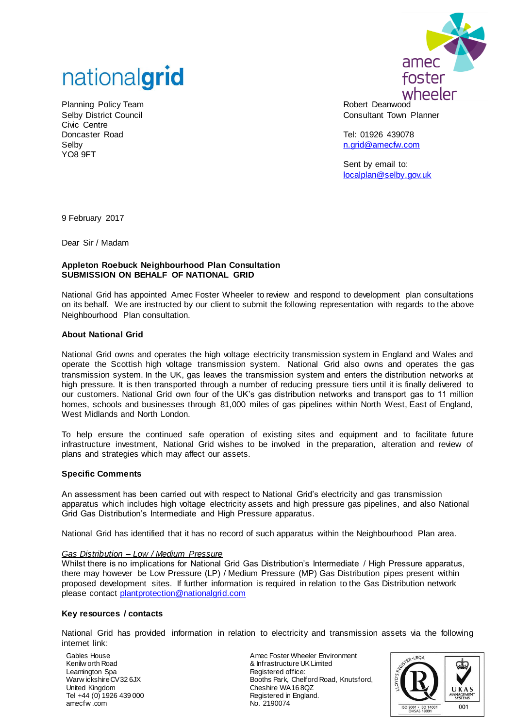

Planning Policy Team Selby District Council Civic Centre Doncaster Road Selby YO8 9FT



Robert Deanwood Consultant Town Planner

Tel: 01926 439078 [n.grid@amecfw.com](mailto:n.grid@amecfw.com)

Sent by email to: [localplan@selby.gov.uk](mailto:localplan@selby.gov.uk)

9 February 2017

Dear Sir / Madam

### **Appleton Roebuck Neighbourhood Plan Consultation SUBMISSION ON BEHALF OF NATIONAL GRID**

National Grid has appointed Amec Foster Wheeler to review and respond to development plan consultations on its behalf. We are instructed by our client to submit the following representation with regards to the above Neighbourhood Plan consultation.

# **About National Grid**

National Grid owns and operates the high voltage electricity transmission system in England and Wales and operate the Scottish high voltage transmission system. National Grid also owns and operates the gas transmission system. In the UK, gas leaves the transmission system and enters the distribution networks at high pressure. It is then transported through a number of reducing pressure tiers until it is finally delivered to our customers. National Grid own four of the UK's gas distribution networks and transport gas to 11 million homes, schools and businesses through 81,000 miles of gas pipelines within North West, East of England, West Midlands and North London.

To help ensure the continued safe operation of existing sites and equipment and to facilitate future infrastructure investment, National Grid wishes to be involved in the preparation, alteration and review of plans and strategies which may affect our assets.

### **Specific Comments**

An assessment has been carried out with respect to National Grid's electricity and gas transmission apparatus which includes high voltage electricity assets and high pressure gas pipelines, and also National Grid Gas Distribution's Intermediate and High Pressure apparatus.

National Grid has identified that it has no record of such apparatus within the Neighbourhood Plan area.

### *Gas Distribution – Low / Medium Pressure*

Whilst there is no implications for National Grid Gas Distribution's Intermediate / High Pressure apparatus, there may however be Low Pressure (LP) / Medium Pressure (MP) Gas Distribution pipes present within proposed development sites. If further information is required in relation to the Gas Distribution network please contact [plantprotection@nationalgrid.com](mailto:plantprotection@nationalgrid.com)

### **Key resources / contacts**

National Grid has provided information in relation to electricity and transmission assets via the following internet link:

Gables House Kenilw orth Road Leamington Spa Warw ickshire CV32 6JX United Kingdom Tel +44 (0) 1926 439 000 amecfw .com

Amec Foster Wheeler Environment & Infrastructure UK Limited Registered office: Booths Park, Chelford Road, Knutsford, Cheshire WA16 8QZ Registered in England. No. 2190074